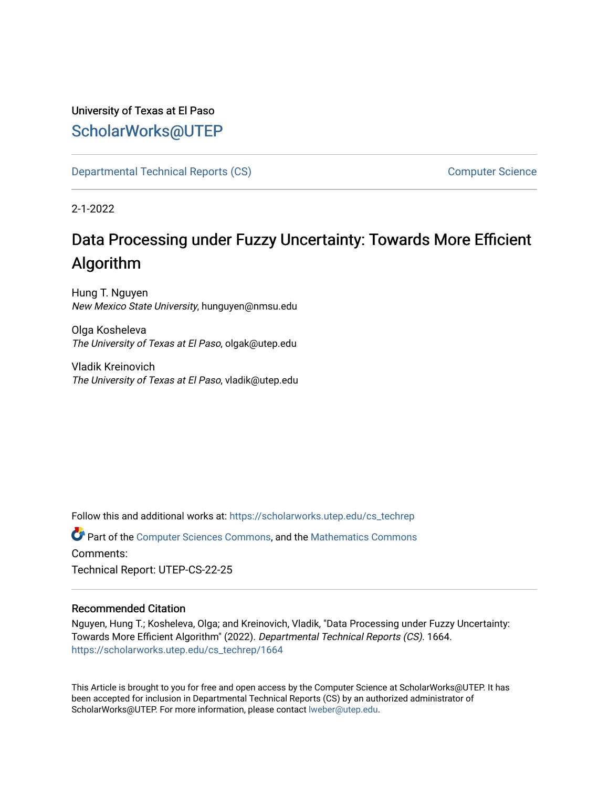# University of Texas at El Paso [ScholarWorks@UTEP](https://scholarworks.utep.edu/)

[Departmental Technical Reports \(CS\)](https://scholarworks.utep.edu/cs_techrep) [Computer Science](https://scholarworks.utep.edu/computer) 

2-1-2022

# Data Processing under Fuzzy Uncertainty: Towards More Efficient Algorithm

Hung T. Nguyen New Mexico State University, hunguyen@nmsu.edu

Olga Kosheleva The University of Texas at El Paso, olgak@utep.edu

Vladik Kreinovich The University of Texas at El Paso, vladik@utep.edu

Follow this and additional works at: [https://scholarworks.utep.edu/cs\\_techrep](https://scholarworks.utep.edu/cs_techrep?utm_source=scholarworks.utep.edu%2Fcs_techrep%2F1664&utm_medium=PDF&utm_campaign=PDFCoverPages) 

Part of the [Computer Sciences Commons](http://network.bepress.com/hgg/discipline/142?utm_source=scholarworks.utep.edu%2Fcs_techrep%2F1664&utm_medium=PDF&utm_campaign=PDFCoverPages), and the [Mathematics Commons](http://network.bepress.com/hgg/discipline/174?utm_source=scholarworks.utep.edu%2Fcs_techrep%2F1664&utm_medium=PDF&utm_campaign=PDFCoverPages)  Comments:

Technical Report: UTEP-CS-22-25

# Recommended Citation

Nguyen, Hung T.; Kosheleva, Olga; and Kreinovich, Vladik, "Data Processing under Fuzzy Uncertainty: Towards More Efficient Algorithm" (2022). Departmental Technical Reports (CS). 1664. [https://scholarworks.utep.edu/cs\\_techrep/1664](https://scholarworks.utep.edu/cs_techrep/1664?utm_source=scholarworks.utep.edu%2Fcs_techrep%2F1664&utm_medium=PDF&utm_campaign=PDFCoverPages) 

This Article is brought to you for free and open access by the Computer Science at ScholarWorks@UTEP. It has been accepted for inclusion in Departmental Technical Reports (CS) by an authorized administrator of ScholarWorks@UTEP. For more information, please contact [lweber@utep.edu](mailto:lweber@utep.edu).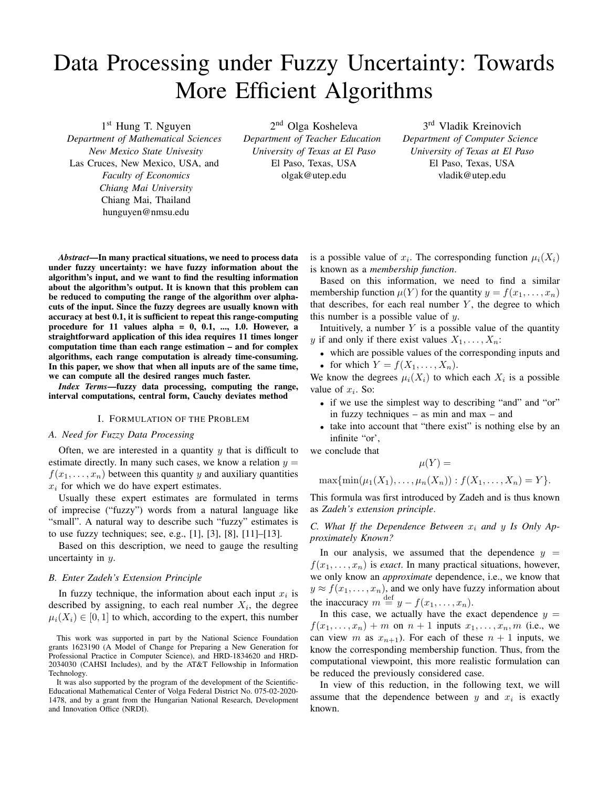# Data Processing under Fuzzy Uncertainty: Towards More Efficient Algorithms

1<sup>st</sup> Hung T. Nguyen *Department of Mathematical Sciences New Mexico State Univesity* Las Cruces, New Mexico, USA, and *Faculty of Economics Chiang Mai University* Chiang Mai, Thailand hunguyen@nmsu.edu

2<sup>nd</sup> Olga Kosheleva *Department of Teacher Education University of Texas at El Paso* El Paso, Texas, USA olgak@utep.edu

3<sup>rd</sup> Vladik Kreinovich *Department of Computer Science University of Texas at El Paso* El Paso, Texas, USA vladik@utep.edu

*Abstract*—In many practical situations, we need to process data under fuzzy uncertainty: we have fuzzy information about the algorithm's input, and we want to find the resulting information about the algorithm's output. It is known that this problem can be reduced to computing the range of the algorithm over alphacuts of the input. Since the fuzzy degrees are usually known with accuracy at best 0.1, it is sufficient to repeat this range-computing procedure for 11 values alpha =  $0$ ,  $0.1$ , ..., 1.0. However, a straightforward application of this idea requires 11 times longer computation time than each range estimation – and for complex algorithms, each range computation is already time-consuming. In this paper, we show that when all inputs are of the same time, we can compute all the desired ranges much faster.

*Index Terms*—fuzzy data processing, computing the range, interval computations, central form, Cauchy deviates method

#### I. FORMULATION OF THE PROBLEM

#### *A. Need for Fuzzy Data Processing*

Often, we are interested in a quantity  $y$  that is difficult to estimate directly. In many such cases, we know a relation  $y =$  $f(x_1, \ldots, x_n)$  between this quantity y and auxiliary quantities  $x_i$  for which we do have expert estimates.

Usually these expert estimates are formulated in terms of imprecise ("fuzzy") words from a natural language like "small". A natural way to describe such "fuzzy" estimates is to use fuzzy techniques; see, e.g., [1], [3], [8], [11]–[13].

Based on this description, we need to gauge the resulting uncertainty in  $y$ .

#### *B. Enter Zadeh's Extension Principle*

In fuzzy technique, the information about each input  $x_i$  is described by assigning, to each real number  $X_i$ , the degree  $\mu_i(X_i) \in [0,1]$  to which, according to the expert, this number

is a possible value of  $x_i$ . The corresponding function  $\mu_i(X_i)$ is known as a *membership function*.

Based on this information, we need to find a similar membership function  $\mu(Y)$  for the quantity  $y = f(x_1, \ldots, x_n)$ that describes, for each real number  $Y$ , the degree to which this number is a possible value of  $y$ .

Intuitively, a number  $Y$  is a possible value of the quantity y if and only if there exist values  $X_1, \ldots, X_n$ :

- which are possible values of the corresponding inputs and
- for which  $Y = f(X_1, \ldots, X_n)$ .

We know the degrees  $\mu_i(X_i)$  to which each  $X_i$  is a possible value of  $x_i$ . So:

- if we use the simplest way to describing "and" and "or" in fuzzy techniques – as min and max – and
- take into account that "there exist" is nothing else by an infinite "or',

we conclude that

$$
\mu(Y) =
$$

 $\max{\min(\mu_1(X_1), \ldots, \mu_n(X_n)) : f(X_1, \ldots, X_n) = Y}.$ 

This formula was first introduced by Zadeh and is thus known as *Zadeh's extension principle*.

# *C.* What If the Dependence Between  $x_i$  and y Is Only Ap*proximately Known?*

In our analysis, we assumed that the dependence  $y =$  $f(x_1, \ldots, x_n)$  is *exact*. In many practical situations, however, we only know an *approximate* dependence, i.e., we know that  $y \approx f(x_1, \ldots, x_n)$ , and we only have fuzzy information about the inaccuracy  $m \stackrel{\text{def}}{=} y - f(x_1, \ldots, x_n)$ .

In this case, we actually have the exact dependence  $y =$  $f(x_1, \ldots, x_n) + m$  on  $n+1$  inputs  $x_1, \ldots, x_n, m$  (i.e., we can view m as  $x_{n+1}$ ). For each of these  $n + 1$  inputs, we know the corresponding membership function. Thus, from the computational viewpoint, this more realistic formulation can be reduced the previously considered case.

In view of this reduction, in the following text, we will assume that the dependence between  $y$  and  $x_i$  is exactly known.

This work was supported in part by the National Science Foundation grants 1623190 (A Model of Change for Preparing a New Generation for Professional Practice in Computer Science), and HRD-1834620 and HRD-2034030 (CAHSI Includes), and by the AT&T Fellowship in Information Technology.

It was also supported by the program of the development of the Scientific-Educational Mathematical Center of Volga Federal District No. 075-02-2020- 1478, and by a grant from the Hungarian National Research, Development and Innovation Office (NRDI).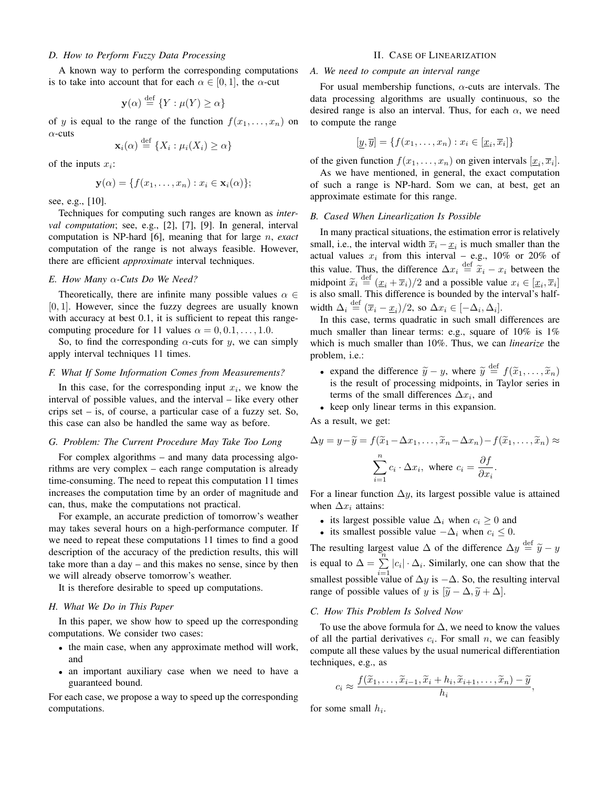# *D. How to Perform Fuzzy Data Processing*

A known way to perform the corresponding computations is to take into account that for each  $\alpha \in [0,1]$ , the  $\alpha$ -cut

$$
\mathbf{y}(\alpha) \stackrel{\text{def}}{=} \{ Y : \mu(Y) \ge \alpha \}
$$

of y is equal to the range of the function  $f(x_1, \ldots, x_n)$  on  $\alpha$ -cuts

$$
\mathbf{x}_i(\alpha) \stackrel{\text{def}}{=} \{X_i : \mu_i(X_i) \ge \alpha\}
$$

of the inputs  $x_i$ :

$$
\mathbf{y}(\alpha) = \{f(x_1,\ldots,x_n) : x_i \in \mathbf{x}_i(\alpha)\};
$$

see, e.g., [10].

Techniques for computing such ranges are known as *interval computation*; see, e.g., [2], [7], [9]. In general, interval computation is NP-hard [6], meaning that for large n, *exact* computation of the range is not always feasible. However, there are efficient *approximate* interval techniques.

# *E. How Many* α*-Cuts Do We Need?*

Theoretically, there are infinite many possible values  $\alpha \in$ [0, 1]. However, since the fuzzy degrees are usually known with accuracy at best 0.1, it is sufficient to repeat this rangecomputing procedure for 11 values  $\alpha = 0, 0.1, \ldots, 1.0$ .

So, to find the corresponding  $\alpha$ -cuts for y, we can simply apply interval techniques 11 times.

#### *F. What If Some Information Comes from Measurements?*

In this case, for the corresponding input  $x_i$ , we know the interval of possible values, and the interval – like every other crips set – is, of course, a particular case of a fuzzy set. So, this case can also be handled the same way as before.

# *G. Problem: The Current Procedure May Take Too Long*

For complex algorithms – and many data processing algorithms are very complex – each range computation is already time-consuming. The need to repeat this computation 11 times increases the computation time by an order of magnitude and can, thus, make the computations not practical.

For example, an accurate prediction of tomorrow's weather may takes several hours on a high-performance computer. If we need to repeat these computations 11 times to find a good description of the accuracy of the prediction results, this will take more than a day – and this makes no sense, since by then we will already observe tomorrow's weather.

It is therefore desirable to speed up computations.

## *H. What We Do in This Paper*

In this paper, we show how to speed up the corresponding computations. We consider two cases:

- the main case, when any approximate method will work, and
- an important auxiliary case when we need to have a guaranteed bound.

For each case, we propose a way to speed up the corresponding computations.

# II. CASE OF LINEARIZATION

# *A. We need to compute an interval range*

For usual membership functions,  $\alpha$ -cuts are intervals. The data processing algorithms are usually continuous, so the desired range is also an interval. Thus, for each  $\alpha$ , we need to compute the range

$$
[\underline{y}, \overline{y}] = \{ f(x_1, \dots, x_n) : x_i \in [\underline{x}_i, \overline{x}_i] \}
$$

of the given function  $f(x_1, \ldots, x_n)$  on given intervals  $[\underline{x}_i, \overline{x}_i]$ .

As we have mentioned, in general, the exact computation of such a range is NP-hard. Som we can, at best, get an approximate estimate for this range.

#### *B. Cased When Linearlization Is Possible*

In many practical situations, the estimation error is relatively small, i.e., the interval width  $\overline{x}_i - \underline{x}_i$  is much smaller than the actual values  $x_i$  from this interval – e.g., 10% or 20% of this value. Thus, the difference  $\Delta x_i \stackrel{\text{def}}{=} \tilde{x}_i - x_i$  between the midnesn  $\tilde{x} \stackrel{\text{def}}{=} (x_i + \overline{x}_i)^2$  and a possible value  $x_i \in [x_i, \overline{x}_i]$ midpoint  $\tilde{x}_i \stackrel{\text{def}}{=} (\underline{x}_i + \overline{x}_i)/2$  and a possible value  $x_i \in [\underline{x}_i, \overline{x}_i]$ <br>is also small. This difference is bounded by the interval's half is also small. This difference is bounded by the interval's halfwidth  $\Delta_i \stackrel{\text{def}}{=} (\overline{x}_i - \underline{x}_i)/2$ , so  $\Delta x_i \in [-\Delta_i, \Delta_i]$ .

In this case, terms quadratic in such small differences are much smaller than linear terms: e.g., square of 10% is 1% which is much smaller than 10%. Thus, we can *linearize* the problem, i.e.:

- expand the difference  $\widetilde{y} y$ , where  $\widetilde{y} \stackrel{\text{def}}{=} f(\widetilde{x}_1, \dots, \widetilde{x}_n)$  is the result of processing midnesing in Taylor series in is the result of processing midpoints, in Taylor series in terms of the small differences  $\Delta x_i$ , and
- keep only linear terms in this expansion.

As a result, we get:

$$
\Delta y = y - \widetilde{y} = f(\widetilde{x}_1 - \Delta x_1, \dots, \widetilde{x}_n - \Delta x_n) - f(\widetilde{x}_1, \dots, \widetilde{x}_n) \approx \sum_{i=1}^n c_i \cdot \Delta x_i, \text{ where } c_i = \frac{\partial f}{\partial x_i}.
$$

For a linear function  $\Delta y$ , its largest possible value is attained when  $\Delta x_i$  attains:

- its largest possible value  $\Delta_i$  when  $c_i \geq 0$  and
- its smallest possible value  $-\Delta_i$  when  $c_i \leq 0$ .

The resulting largest value  $\Delta$  of the difference  $\Delta y \stackrel{\text{def}}{=} \widetilde{y} - y$ is equal to  $\Delta = \sum_{i=1}^{n} |c_i| \cdot \Delta_i$ . Similarly, one can show that the smallest possible value of  $\Delta y$  is  $-\Delta$ . So, the resulting interval range of possible values of y is  $[\widetilde{y} - \Delta, \widetilde{y} + \Delta]$ .

#### *C. How This Problem Is Solved Now*

To use the above formula for  $\Delta$ , we need to know the values of all the partial derivatives  $c_i$ . For small n, we can feasibly compute all these values by the usual numerical differentiation techniques, e.g., as

$$
c_i \approx \frac{f(\widetilde{x}_1,\ldots,\widetilde{x}_{i-1},\widetilde{x}_i+h_i,\widetilde{x}_{i+1},\ldots,\widetilde{x}_n)-\widetilde{y}}{h_i},
$$

for some small  $h_i$ .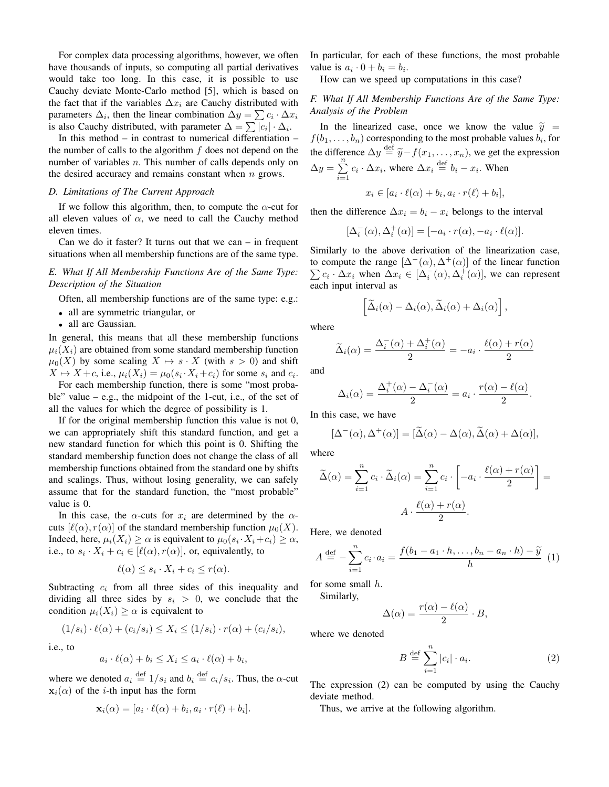For complex data processing algorithms, however, we often have thousands of inputs, so computing all partial derivatives would take too long. In this case, it is possible to use Cauchy deviate Monte-Carlo method [5], which is based on the fact that if the variables  $\Delta x_i$  are Cauchy distributed with parameters  $\Delta_i$ , then the linear combination  $\Delta y = \sum_i c_i \cdot \Delta x_i$ is also Cauchy distributed, with parameter  $\Delta = \sum |c_i| \cdot \Delta_i$ .

In this method – in contrast to numerical differentiation – the number of calls to the algorithm  $f$  does not depend on the number of variables *n*. This number of calls depends only on the desired accuracy and remains constant when  $n$  grows.

# *D. Limitations of The Current Approach*

If we follow this algorithm, then, to compute the  $\alpha$ -cut for all eleven values of  $\alpha$ , we need to call the Cauchy method eleven times.

Can we do it faster? It turns out that we can  $-$  in frequent situations when all membership functions are of the same type.

# *E. What If All Membership Functions Are of the Same Type: Description of the Situation*

Often, all membership functions are of the same type: e.g.:

- all are symmetric triangular, or
- all are Gaussian.

In general, this means that all these membership functions  $\mu_i(X_i)$  are obtained from some standard membership function  $\mu_0(X)$  by some scaling  $X \mapsto s \cdot X$  (with  $s > 0$ ) and shift  $X \mapsto X + c$ , i.e.,  $\mu_i(X_i) = \mu_0(s_i \cdot X_i + c_i)$  for some  $s_i$  and  $c_i$ .

For each membership function, there is some "most probable" value – e.g., the midpoint of the 1-cut, i.e., of the set of all the values for which the degree of possibility is 1.

If for the original membership function this value is not 0, we can appropriately shift this standard function, and get a new standard function for which this point is 0. Shifting the standard membership function does not change the class of all membership functions obtained from the standard one by shifts and scalings. Thus, without losing generality, we can safely assume that for the standard function, the "most probable" value is 0.

In this case, the  $\alpha$ -cuts for  $x_i$  are determined by the  $\alpha$ cuts  $[\ell(\alpha), r(\alpha)]$  of the standard membership function  $\mu_0(X)$ . Indeed, here,  $\mu_i(X_i) \geq \alpha$  is equivalent to  $\mu_0(s_i \cdot X_i + c_i) \geq \alpha$ , i.e., to  $s_i \cdot X_i + c_i \in [\ell(\alpha), r(\alpha)],$  or, equivalently, to

$$
\ell(\alpha) \le s_i \cdot X_i + c_i \le r(\alpha).
$$

Subtracting  $c_i$  from all three sides of this inequality and dividing all three sides by  $s_i > 0$ , we conclude that the condition  $\mu_i(X_i) \geq \alpha$  is equivalent to

$$
(1/s_i)\cdot \ell(\alpha) + (c_i/s_i) \leq X_i \leq (1/s_i)\cdot r(\alpha) + (c_i/s_i),
$$

i.e., to

$$
a_i \cdot \ell(\alpha) + b_i \le X_i \le a_i \cdot \ell(\alpha) + b_i,
$$

where we denoted  $a_i \stackrel{\text{def}}{=} 1/s_i$  and  $b_i \stackrel{\text{def}}{=} c_i/s_i$ . Thus, the  $\alpha$ -cut  $x_i(\alpha)$  of the *i*-th input has the form

$$
\mathbf{x}_i(\alpha) = [a_i \cdot \ell(\alpha) + b_i, a_i \cdot r(\ell) + b_i].
$$

In particular, for each of these functions, the most probable value is  $a_i \cdot 0 + b_i = b_i$ .

How can we speed up computations in this case?

# *F. What If All Membership Functions Are of the Same Type: Analysis of the Problem*

In the linearized case, once we know the value  $\tilde{y}$  =  $f(b_1, \ldots, b_n)$  corresponding to the most probable values  $b_i$ , for the difference  $\Delta y \stackrel{\text{def}}{=} \widetilde{y} - f(x_1, \ldots, x_n)$ , we get the expression  $\Delta y = \sum_{n=1}^{n}$  $\sum_{i=1}^{n} c_i \cdot \Delta x_i$ , where  $\Delta x_i \stackrel{\text{def}}{=} b_i - x_i$ . When

$$
x_i \in [a_i \cdot \ell(\alpha) + b_i, a_i \cdot r(\ell) + b_i],
$$

then the difference  $\Delta x_i = b_i - x_i$  belongs to the interval

$$
[\Delta^-_i(\alpha), \Delta^+_i(\alpha)] = [-a_i \cdot r(\alpha), -a_i \cdot \ell(\alpha)].
$$

Similarly to the above derivation of the linearization case, to compute the range  $[\Delta^-(\alpha), \Delta^+(\alpha)]$  of the linear function  $\sum c_i \cdot \Delta x_i$  when  $\Delta x_i \in [\Delta_i^-(\alpha), \Delta_i^+(\alpha)]$ , we can represent each input interval as

$$
\left[\widetilde{\Delta}_i(\alpha) - \Delta_i(\alpha), \widetilde{\Delta}_i(\alpha) + \Delta_i(\alpha)\right],
$$

where

$$
\widetilde{\Delta}_i(\alpha) = \frac{\Delta_i^-(\alpha) + \Delta_i^+(\alpha)}{2} = -a_i \cdot \frac{\ell(\alpha) + r(\alpha)}{2}
$$

and

$$
\Delta_i(\alpha) = \frac{\Delta_i^+(\alpha) - \Delta_i^-(\alpha)}{2} = a_i \cdot \frac{r(\alpha) - \ell(\alpha)}{2}.
$$

In this case, we have

$$
[\Delta^-(\alpha), \Delta^+(\alpha)] = [\tilde{\Delta}(\alpha) - \Delta(\alpha), \tilde{\Delta}(\alpha) + \Delta(\alpha)],
$$

where

$$
\widetilde{\Delta}(\alpha) = \sum_{i=1}^{n} c_i \cdot \widetilde{\Delta}_i(\alpha) = \sum_{i=1}^{n} c_i \cdot \left[ -a_i \cdot \frac{\ell(\alpha) + r(\alpha)}{2} \right] =
$$

$$
A \cdot \frac{\ell(\alpha) + r(\alpha)}{2}.
$$

Here, we denoted

$$
A \stackrel{\text{def}}{=} -\sum_{i=1}^{n} c_i \cdot a_i = \frac{f(b_1 - a_1 \cdot h, \dots, b_n - a_n \cdot h) - \widetilde{y}}{h} \tag{1}
$$

for some small h.

Similarly,

$$
\Delta(\alpha) = \frac{r(\alpha) - \ell(\alpha)}{2} \cdot B,
$$

where we denoted

$$
B \stackrel{\text{def}}{=} \sum_{i=1}^{n} |c_i| \cdot a_i.
$$
 (2)

The expression (2) can be computed by using the Cauchy deviate method.

Thus, we arrive at the following algorithm.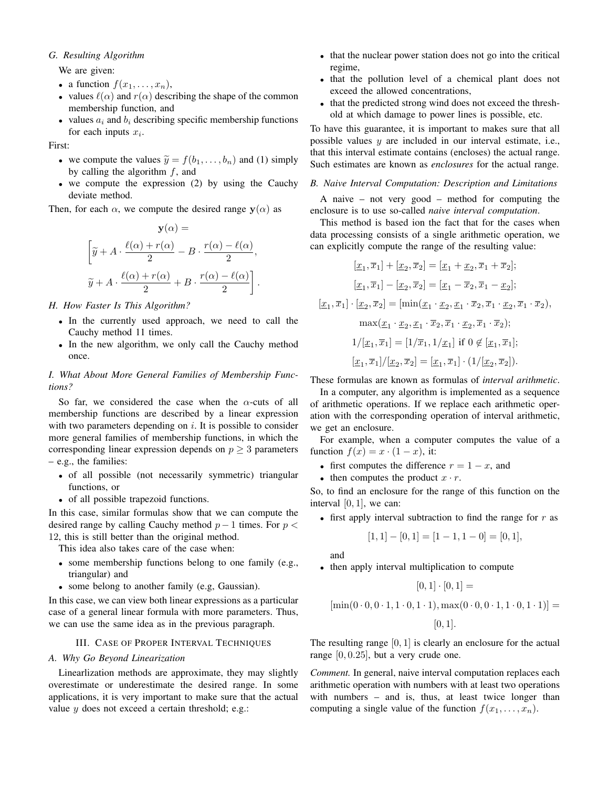# *G. Resulting Algorithm*

We are given:

- a function  $f(x_1, \ldots, x_n)$ ,
- values  $\ell(\alpha)$  and  $r(\alpha)$  describing the shape of the common membership function, and
- values  $a_i$  and  $b_i$  describing specific membership functions for each inputs  $x_i$ .

First:

- we compute the values  $\widetilde{y} = f(b_1, \ldots, b_n)$  and (1) simply by calling the algorithm  $f$ , and
- we compute the expression (2) by using the Cauchy deviate method.

Then, for each  $\alpha$ , we compute the desired range  $y(\alpha)$  as

$$
\mathbf{y}(\alpha) =
$$
  

$$
\left[\widetilde{y} + A \cdot \frac{\ell(\alpha) + r(\alpha)}{2} - B \cdot \frac{r(\alpha) - \ell(\alpha)}{2}, \right]
$$
  

$$
\widetilde{y} + A \cdot \frac{\ell(\alpha) + r(\alpha)}{2} + B \cdot \frac{r(\alpha) - \ell(\alpha)}{2}\right].
$$

*H. How Faster Is This Algorithm?*

- In the currently used approach, we need to call the Cauchy method 11 times.
- In the new algorithm, we only call the Cauchy method once.

# *I. What About More General Families of Membership Functions?*

So far, we considered the case when the  $\alpha$ -cuts of all membership functions are described by a linear expression with two parameters depending on  $i$ . It is possible to consider more general families of membership functions, in which the corresponding linear expression depends on  $p \geq 3$  parameters – e.g., the families:

- of all possible (not necessarily symmetric) triangular functions, or
- of all possible trapezoid functions.

In this case, similar formulas show that we can compute the desired range by calling Cauchy method  $p - 1$  times. For  $p <$ 12, this is still better than the original method.

This idea also takes care of the case when:

- some membership functions belong to one family (e.g., triangular) and
- some belong to another family (e.g, Gaussian).

In this case, we can view both linear expressions as a particular case of a general linear formula with more parameters. Thus, we can use the same idea as in the previous paragraph.

# III. CASE OF PROPER INTERVAL TECHNIQUES

# *A. Why Go Beyond Linearization*

Linearlization methods are approximate, they may slightly overestimate or underestimate the desired range. In some applications, it is very important to make sure that the actual value  $y$  does not exceed a certain threshold; e.g.:

- that the nuclear power station does not go into the critical regime,
- that the pollution level of a chemical plant does not exceed the allowed concentrations,
- that the predicted strong wind does not exceed the threshold at which damage to power lines is possible, etc.

To have this guarantee, it is important to makes sure that all possible values  $y$  are included in our interval estimate, i.e., that this interval estimate contains (encloses) the actual range. Such estimates are known as *enclosures* for the actual range.

# *B. Naive Interval Computation: Description and Limitations*

A naive – not very good – method for computing the enclosure is to use so-called *naive interval computation*.

This method is based ion the fact that for the cases when data processing consists of a single arithmetic operation, we can explicitly compute the range of the resulting value:

$$
[\underline{x}_1, \overline{x}_1] + [\underline{x}_2, \overline{x}_2] = [\underline{x}_1 + \underline{x}_2, \overline{x}_1 + \overline{x}_2];
$$
  
\n
$$
[\underline{x}_1, \overline{x}_1] - [\underline{x}_2, \overline{x}_2] = [\underline{x}_1 - \overline{x}_2, \overline{x}_1 - \underline{x}_2];
$$
  
\n
$$
[\underline{x}_1, \overline{x}_1] \cdot [\underline{x}_2, \overline{x}_2] = [\min(\underline{x}_1 \cdot \underline{x}_2, \underline{x}_1 \cdot \overline{x}_2, \overline{x}_1 \cdot \underline{x}_2, \overline{x}_1 \cdot \overline{x}_2),
$$
  
\n
$$
\max(\underline{x}_1 \cdot \underline{x}_2, \underline{x}_1 \cdot \overline{x}_2, \overline{x}_1 \cdot \underline{x}_2, \overline{x}_1 \cdot \overline{x}_2);
$$
  
\n
$$
1/[\underline{x}_1, \overline{x}_1] = [1/\overline{x}_1, 1/\underline{x}_1] \text{ if } 0 \notin [\underline{x}_1, \overline{x}_1];
$$
  
\n
$$
[\underline{x}_1, \overline{x}_1]/[\underline{x}_2, \overline{x}_2] = [\underline{x}_1, \overline{x}_1] \cdot (1/[\underline{x}_2, \overline{x}_2]).
$$

These formulas are known as formulas of *interval arithmetic*.

In a computer, any algorithm is implemented as a sequence of arithmetic operations. If we replace each arithmetic operation with the corresponding operation of interval arithmetic, we get an enclosure.

For example, when a computer computes the value of a function  $f(x) = x \cdot (1 - x)$ , it:

- first computes the difference  $r = 1 x$ , and
- then computes the product  $x \cdot r$ .

So, to find an enclosure for the range of this function on the interval  $[0, 1]$ , we can:

• first apply interval subtraction to find the range for  $r$  as

$$
[1,1] - [0,1] = [1 - 1, 1 - 0] = [0,1],
$$

and

• then apply interval multiplication to compute

$$
[0,1]\cdot[0,1]=
$$

$$
[\min(0\cdot 0, 0\cdot 1, 1\cdot 0, 1\cdot 1), \max(0\cdot 0, 0\cdot 1, 1\cdot 0, 1\cdot 1)] =
$$

 $[0, 1]$ .

The resulting range  $[0, 1]$  is clearly an enclosure for the actual range [0, 0.25], but a very crude one.

*Comment.* In general, naive interval computation replaces each arithmetic operation with numbers with at least two operations with numbers – and is, thus, at least twice longer than computing a single value of the function  $f(x_1, \ldots, x_n)$ .